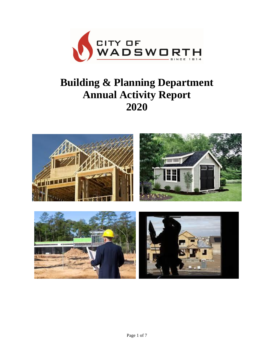

# **Building & Planning Department Annual Activity Report 2020**

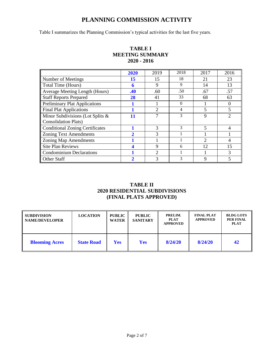## **PLANNING COMMISSION ACTIVITY**

Table I summarizes the Planning Commission's typical activities for the last five years.

|                                        | 2020        | 2019           | 2018 | 2017                        | 2016                        |
|----------------------------------------|-------------|----------------|------|-----------------------------|-----------------------------|
| Number of Meetings                     | 15          | 15             | 18   | 21                          | 23                          |
| Total Time (Hours)                     | 6           | 9              | 9    | 14                          | 13                          |
| <b>Average Meeting Length (Hours)</b>  | .40         | .60            | .50  | .67                         | .57                         |
| <b>Staff Reports Prepared</b>          | 28          | 41             | 33   | 68                          | 63                          |
| <b>Preliminary Plat Applications</b>   |             |                | 0    |                             | $\theta$                    |
| <b>Final Plat Applications</b>         |             | ↑              | 4    |                             | 5                           |
| Minor Subdivisions (Lot Splits &       | 11          | 7              | 3    | 9                           | $\mathcal{D}_{\mathcal{L}}$ |
| <b>Consolidation Plats</b> )           |             |                |      |                             |                             |
| <b>Conditional Zoning Certificates</b> |             | 3              | 3    | 5                           | $\overline{4}$              |
| <b>Zoning Text Amendments</b>          | $\mathbf 2$ | 3              |      |                             |                             |
| <b>Zoning Map Amendments</b>           |             |                |      | $\mathcal{D}_{\mathcal{L}}$ | 4                           |
| <b>Site Plan Reviews</b>               |             | 9              | 6    | 12                          | 15                          |
| <b>Condominium Declarations</b>        |             | $\mathfrak{D}$ |      |                             | 3                           |
| <b>Other Staff</b>                     | 2           | ⌒              | 3    | q                           |                             |

## **TABLE I MEETING SUMMARY 2020 - 2016**

## **TABLE II 2020 RESIDENTIAL SUBDIVISIONS (FINAL PLATS APPROVED)**

| <b>SUBDIVISION</b><br><b>NAME/DEVELOPER</b> | <b>LOCATION</b>   | <b>PUBLIC</b><br><b>WATER</b> | <b>PUBLIC</b><br><b>SANITARY</b> | PRELIM.<br><b>PLAT</b><br><b>APPROVED</b> | <b>FINAL PLAT</b><br><b>APPROVED</b> | <b>BLDG LOTS</b><br><b>PER FINAL</b><br><b>PLAT</b> |
|---------------------------------------------|-------------------|-------------------------------|----------------------------------|-------------------------------------------|--------------------------------------|-----------------------------------------------------|
| <b>Blooming Acres</b>                       | <b>State Road</b> | <b>Yes</b>                    | <b>Yes</b>                       | 8/24/20                                   | 8/24/20                              | 42                                                  |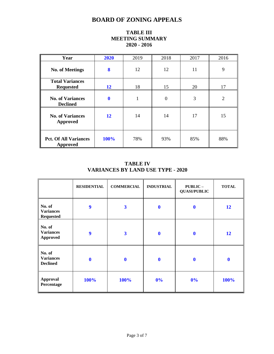# **BOARD OF ZONING APPEALS**

| Year                                       | 2020         | 2019 | 2018           | 2017 | 2016 |
|--------------------------------------------|--------------|------|----------------|------|------|
| <b>No. of Meetings</b>                     | 8            | 12   | 12             | 11   | 9    |
| <b>Total Variances</b><br><b>Requested</b> | 12           | 18   | 15             | 20   | 17   |
| <b>No. of Variances</b><br><b>Declined</b> | $\mathbf{0}$ | 1    | $\overline{0}$ | 3    | 2    |
| <b>No. of Variances</b><br>Approved        | 12           | 14   | 14             | 17   | 15   |
| <b>Pct. Of All Variances</b><br>Approved   | 100%         | 78%  | 93%            | 85%  | 88%  |

## **TABLE III MEETING SUMMARY 2020 - 2016**

## **TABLE IV VARIANCES BY LAND USE TYPE - 2020**

|                                                | <b>RESIDENTIAL</b> | <b>COMMERCIAL</b>       | <b>INDUSTRIAL</b> | PUBLIC-<br><b>QUASI/PUBLIC</b> | <b>TOTAL</b> |
|------------------------------------------------|--------------------|-------------------------|-------------------|--------------------------------|--------------|
| No. of<br><b>Variances</b><br><b>Requested</b> | 9                  | $\overline{\mathbf{3}}$ | $\mathbf 0$       | $\boldsymbol{0}$               | 12           |
| No. of<br><b>Variances</b><br><b>Approved</b>  | $\boldsymbol{9}$   | $\overline{\mathbf{3}}$ | $\mathbf 0$       | $\mathbf 0$                    | 12           |
| No. of<br><b>Variances</b><br><b>Declined</b>  | $\boldsymbol{0}$   | $\boldsymbol{0}$        | $\mathbf 0$       | $\boldsymbol{0}$               | $\mathbf 0$  |
| Approval<br>Percentage                         | 100%               | 100%                    | 0%                | 0%                             | 100%         |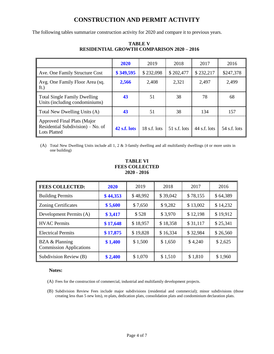# **CONSTRUCTION AND PERMIT ACTIVITY**

The following tables summarize construction activity for 2020 and compare it to previous years.

|                                                                                         | <b>2020</b>  | 2019           | 2018           | 2017         | 2016         |
|-----------------------------------------------------------------------------------------|--------------|----------------|----------------|--------------|--------------|
| Ave. One Family Structure Cost                                                          | \$349,595    | \$232,098      | \$202,477      | \$232,217    | \$247,378    |
| Avg. One Family Floor Area (sq.<br>ft.)                                                 | 2,566        | 2,408          | 2,321          | 2,497        | 2,499        |
| <b>Total Single Family Dwelling</b><br>Units (including condominiums)                   | 43           | 51             | 38             | 78           | 68           |
| Total New Dwelling Units (A)                                                            | 43           | 51             | 38             | 134          | 157          |
| Approved Final Plats (Major<br>Residential Subdivision) – No. of<br><b>Lots Platted</b> | 42 s.f. lots | $18$ s.f. lots | $51$ s.f. lots | 44 s.f. lots | 54 s.f. lots |

## **TABLE V RESIDENTIAL GROWTH COMPARISON 2020 – 2016**

(A) Total New Dwelling Units include all 1, 2 & 3-family dwelling and all multifamily dwellings (4 or more units in one building)

#### **TABLE VI FEES COLLECTED 2020 - 2016**

| <b>FEES COLLECTED:</b>                           | <b>2020</b> | 2019     | 2018     | 2017     | 2016     |
|--------------------------------------------------|-------------|----------|----------|----------|----------|
| <b>Building Permits</b>                          | \$44,353    | \$48,992 | \$39,042 | \$78,155 | \$64,389 |
| <b>Zoning Certificates</b>                       | \$5,600     | \$7,650  | \$9,282  | \$13,002 | \$14,232 |
| Development Permits (A)                          | \$3,417     | \$528    | \$3,970  | \$12,198 | \$19,912 |
| <b>HVAC</b> Permits                              | \$17,648    | \$18,957 | \$18,358 | \$31,117 | \$25,341 |
| <b>Electrical Permits</b>                        | \$17,875    | \$19,828 | \$16,334 | \$32,984 | \$26,560 |
| BZA & Planning<br><b>Commission Applications</b> | \$1,400     | \$1,500  | \$1,650  | \$4,240  | \$2,625  |
| Subdivision Review (B)                           | \$2,400     | \$1,070  | \$1,510  | \$1,810  | \$1,960  |

#### **Notes:**

(A) Fees for the construction of commercial, industrial and multifamily development projects.

(B) Subdivision Review Fees include major subdivisions (residential and commercial); minor subdivisions (those creating less than 5 new lots), re-plats, dedication plats, consolidation plats and condominium declaration plats.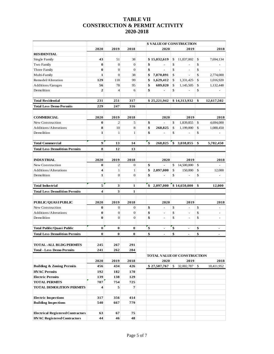## **TABLE VII CONSTRUCTION & PERMIT ACTIVITY 2020-2018**

|                                                |                |                  |                |                      | <b>\$ VALUE OF CONSTRUCTION</b>    |                                |
|------------------------------------------------|----------------|------------------|----------------|----------------------|------------------------------------|--------------------------------|
|                                                | 2020           | 2019             | 2018           | 2020                 | 2019                               | 2018                           |
| <b>RESIDENTIAL</b>                             |                |                  |                |                      |                                    |                                |
| Single Family                                  | 43             | 51               | 38             | \$15,032,619         | \$<br>11,837,002                   | \$<br>7,694,134                |
| Two Family                                     | $\bf{0}$       | $\boldsymbol{0}$ | $\mathbf{0}$   | \$<br>$\blacksquare$ | \$                                 | \$                             |
| Three Family                                   | $\bf{0}$       | $\overline{0}$   | $\overline{0}$ | \$<br>$\mathbf{r}$   | \$<br>$\equiv$                     | \$<br>$\equiv$                 |
| Multi-Family                                   | 1              | $\mathbf{0}$     | 38             | \$<br>7,870,891      | \$<br>$\frac{1}{2}$                | \$<br>2,774,000                |
| Remodel/Alteration                             | 129            | 118              | 99             | \$<br>1,629,412      | \$<br>1,331,425                    | \$<br>1,016,920                |
| Additions/Garages                              | 56             | 78               | 95             | \$<br>689,020        | \$<br>1,145,505                    | \$<br>1,132,448                |
| Demolition                                     | $\overline{2}$ | $\overline{4}$   | 6              | \$<br>۰              | \$<br>$\qquad \qquad \blacksquare$ | \$                             |
| <b>Total Residential</b>                       | 231            | 251              | 317            | \$25,221,942         | \$14,313,932                       | \$<br>12,617,502               |
| <b>Total Less Demo Permits</b>                 | 229            | 247              | 316            |                      |                                    |                                |
|                                                |                |                  |                |                      |                                    |                                |
| <b>COMMERCIAL</b>                              | 2020           | 2019             | 2018           | 2020                 | 2019                               | 2018                           |
| New Construction                               | 0              | $\mathfrak{2}$   | 5              | \$<br>$\blacksquare$ | \$<br>1,839,855                    | \$<br>4,694,000                |
| Additions/Alterations                          | 8              | 10               | 8              | \$<br>268,825        | \$<br>1,199,000                    | \$<br>1,088,450                |
| Demolition                                     | 1              | $\mathbf{1}$     | $\mathbf{1}$   | \$                   | \$<br>$\overline{a}$               | \$                             |
| <b>Total Commercial</b>                        | 9              | 13               | 14             | \$<br>268,825        | \$<br>3,038,855                    | \$<br>5,782,450                |
| <b>Total Less Demolition Permits</b>           | 8              | 12               | 13             |                      |                                    |                                |
|                                                |                |                  |                |                      |                                    |                                |
| <b>INDUSTRIAL</b>                              | 2020           | 2019             | 2018           | 2020                 | 2019                               | 2018                           |
| New Construction                               | $\bf{0}$       | $\overline{c}$   | $\overline{0}$ | \$<br>$\blacksquare$ | \$<br>14,500,000                   | \$                             |
| Additions/Alterations                          | 4              | $\mathbf{1}$     | $\mathbf{1}$   | \$<br>2,097,000      | \$<br>150,000                      | \$<br>12,000                   |
| Demolition                                     | 1              | $\overline{0}$   | $\overline{0}$ | \$<br>٠              | \$<br>$\overline{\phantom{a}}$     | \$<br>$\overline{a}$           |
|                                                |                |                  |                |                      |                                    |                                |
| <b>Total Industrial</b>                        | 5              | 3                | 1              | \$<br>2,097,000      | \$14,650,000                       | \$<br>12,000                   |
| <b>Total Less Demolition Permits</b>           | 4              | 3                | 1              |                      |                                    |                                |
|                                                |                |                  |                |                      |                                    |                                |
| PUBLIC/QUASIPUBLIC                             | 2020           | 2019             | 2018           | 2020                 | 2019                               | 2018                           |
| New Construction                               | 0              | $\theta$         | $\mathbf{0}$   | \$<br>٠              | \$<br>$\overline{a}$               | \$<br>$\sim$                   |
| Additions/Alterations                          | 0              | $\mathbf{0}$     | $\mathbf{0}$   | \$<br>$\blacksquare$ | \$<br>$\overline{\phantom{a}}$     | \$<br>$\overline{\phantom{a}}$ |
| Demolition                                     | $\bf{0}$       | $\overline{0}$   | $\overline{0}$ | \$<br>$\blacksquare$ | \$<br>$\overline{a}$               | \$<br>$\blacksquare$           |
|                                                |                |                  |                |                      |                                    |                                |
| <b>Total Public/Quasi Public</b>               | 0              | 0                | $\bf{0}$       | \$                   | \$<br>÷,                           | \$                             |
| <b>Total Less Demolition Permits</b>           | 0              | $\bf{0}$         | $\bf{0}$       | \$                   | \$                                 | \$                             |
| <b>TOTAL -ALL BLDG PERMITS</b>                 | 245            | 267              | 291            |                      |                                    |                                |
| <b>Total - Less Demo Permits</b>               | 241            | 262              | 284            |                      |                                    |                                |
|                                                |                |                  |                |                      | TOTAL VALUE OF CONSTRUCTION        |                                |
|                                                | 2020           | 2019             | 2018           | 2020                 | 2019                               | 2018                           |
| <b>Building &amp; Zoning Permits</b>           | 456            | 434              | 426            | \$27,587,767         | \$<br>32,002,787                   | \$<br>18,411,952               |
|                                                |                |                  |                |                      |                                    |                                |
| <b>HVAC Permits</b><br><b>Electric Permits</b> | 192            | 182              | 170<br>129     |                      |                                    |                                |
|                                                | 139<br>787     | 138              |                |                      |                                    |                                |
| <b>TOTAL PERMITS</b>                           |                | 754              | 725            |                      |                                    |                                |
| <b>TOTAL DEMOLITION PERMITS</b>                | 4              | 5                | $\overline{7}$ |                      |                                    |                                |
| <b>Electric Inspections</b>                    | 317            | 356              | 414            |                      |                                    |                                |
| <b>Building Inspections</b>                    | 540            | 667              | 779            |                      |                                    |                                |
|                                                |                |                  |                |                      |                                    |                                |
| <b>Electrical Registered Contractors</b>       | 63             | 67               | 75             |                      |                                    |                                |
| <b>HVAC Registered Contractors</b>             | 44             | 46               | 48             |                      |                                    |                                |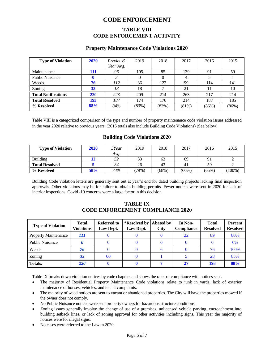## **CODE ENFORCEMENT**

#### **TABLE VIII CODE ENFORCEMENT ACTIVITY**

#### **Property Maintenance Code Violations 2020**

| <b>Type of Violation</b>   | 2020       | Previous5 | 2019  | 2018  | 2017  | 2016  | 2015  |
|----------------------------|------------|-----------|-------|-------|-------|-------|-------|
|                            |            | Year Avg. |       |       |       |       |       |
| Maintenance                | 111        | 96        | 105   | 85    | 139   | 91    | 59    |
| <b>Public Nuisance</b>     |            | 3         | 0     |       | 4     |       | 4     |
| Weeds                      | 76         | 112       | 86    | 122   | 99    | 114   | 141   |
| Zoning                     | 33         | 13        | 18    |       | 21    |       | 10    |
| <b>Total Notifications</b> | <b>220</b> | 223       | 209   | 214   | 263   | 217   | 214   |
| <b>Total Resolved</b>      | 193        | 187       | 174   | 176   | 214   | 187   | 185   |
| % Resolved                 | 88%        | 84%       | (83%) | (82%) | (81%) | (86%) | (86%) |

Table VIII is a categorized comparison of the type and number of property maintenance code violation issues addressed in the year 2020 relative to previous years. (2015 totals also include Building Code Violations) (See below).

#### **Building Code Violations 2020**

| <b>Type of Violation</b> | 2020 | 5Year | 2019  | 2018     | 2017     | 2016     | 2015      |
|--------------------------|------|-------|-------|----------|----------|----------|-----------|
|                          |      | Avg.  |       |          |          |          |           |
| Building                 | 12   | 52    | 33    | 63       | 69       | 91       |           |
| Total Resolved           |      | 34    | 26    | 43       | 41       | 59       |           |
| % Resolved               | 58%  | 74%   | (79%) | $(68\%)$ | $(60\%)$ | $(65\%)$ | $(100\%)$ |

Building Code violation letters are generally sent out at year's end for dated building projects lacking final inspection approvals. Other violations may be for failure to obtain building permits. Fewer notices were sent in 2020 for lack of interior inspections. Covid -19 concerns were a large factor in this decision.

#### **TABLE IX CODE ENFORCEMENT COMPLIANCE 2020**

| <b>Type of Violation</b>    | <b>Total</b><br><b>Violations</b> | <b>Referred to</b><br>Law Dept. | *Resolved by  Abated by<br>Law Dept. | <b>City</b> | In Non-<br><b>Compliance</b> | <b>Total</b><br><b>Resolved</b> | Percent<br><b>Resolved</b> |
|-----------------------------|-----------------------------------|---------------------------------|--------------------------------------|-------------|------------------------------|---------------------------------|----------------------------|
| <b>Property Maintenance</b> | 111                               |                                 |                                      |             | 22                           | 89                              | 80%                        |
| <b>Public Nuisance</b>      |                                   |                                 |                                      |             |                              |                                 | 0%                         |
| Weeds                       | 76                                |                                 |                                      |             |                              | 76                              | 100%                       |
| Zoning                      | 33                                | 00                              |                                      |             |                              | 28                              | 85%                        |
| Totals:                     | 220                               |                                 |                                      |             | 27                           | 193                             | 88%                        |

Table IX breaks down violation notices by code chapters and shows the rates of compliance with notices sent.

- The majority of Residential Property Maintenance Code violations relate to junk in yards, lack of exterior maintenance of houses, vehicles, and tenant complaints.
- The majority of weed notices are sent to vacant or abandoned properties. The City will have the properties mowed if the owner does not comply.
- No Public Nuisance notices were sent property owners for hazardous structure conditions.
- Zoning issues generally involve the change of use of a premises, unlicensed vehicle parking, encroachment into building setback lines, or lack of zoning approval for other activities including signs. This year the majority of notices were for illegal signs.
- No cases were referred to the Law in 2020.